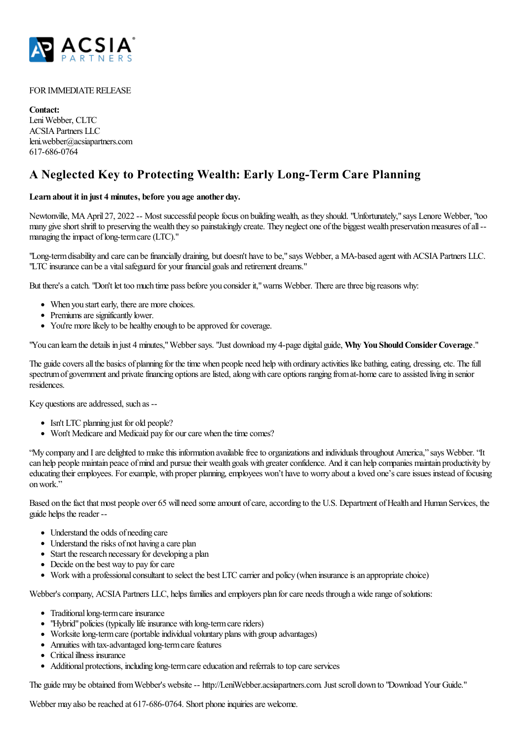

## FOR IMMEDIATE RELEASE

**Contact:** Leni Webber, CLTC ACSIAPartners LLC leni.webber@acsiapartners.com 617-686-0764

## **A Neglected Key to Protecting Wealth: Early Long-Term Care Planning**

## **Learn about it in just 4 minutes, before you age another day.**

Newtonville, MA April 27, 2022 -- Most successful people focus on building wealth, as they should. "Unfortunately," says Lenore Webber, "too many give short shrift to preserving the wealth they so painstakingly create. They neglect one of the biggest wealth preservation measures of all -managing the impact of long-term care (LTC)."

"Long-term disability and care can be financially draining, but doesn't have to be," says Webber, a MA-based agent with ACSIA Partners LLC. "LTC insurance can be a vital safeguard for your financial goals and retirement dreams."

But there's a catch. "Don't let too much time pass before you consider it," warns Webber. There are three big reasons why:

- When you start early, there are more choices.
- Premiums are significantly lower.
- You're more likely to be healthy enough to be approved for coverage.

"You can learn the details in just 4 minutes,"Webber says. "Just download my 4-page digital guide, **Why You ShouldConsiderCoverage**."

The guide covers all the basics of planning for the time when people need help with ordinary activities like bathing, eating, dressing, etc. The full spectrum of government and private financing options are listed, along with care options ranging from at-home care to assisted living in senior residences.

Key questions are addressed, such as --

- Isn't LTC planning just for old people?
- Won't Medicare and Medicaid pay for our care when the time comes?

"My company and I are delighted to make this information available free to organizations and individuals throughout America," says Webber. "It can help people maintain peace of mind and pursue their wealth goals with greater confidence. And it can help companies maintain productivity by educating their employees. For example, with proper planning, employees won't have to worry about a loved one's care issues instead of focusing onwork."

Based on the fact that most people over 65 will need some amount of care, according to the U.S. Department of Health and Human Services, the guide helps the reader --

- Understand the odds of needing care
- Understand the risks of not having a care plan
- $\bullet$  Start the research necessary for developing a plan
- Decide on the best way to pay for care
- Work with a professional consultant to select the best LTC carrier and policy (when insurance is an appropriate choice)

Webber's company, ACSIA Partners LLC, helps families and employers plan for care needs through a wide range of solutions:

- Traditional long-term care insurance
- "Hybrid" policies (typically life insurance with long-term care riders)
- Worksite long-term care (portable individual voluntary plans with group advantages)
- Annuities with tax-advantaged long-term care features
- Critical illness insurance
- Additional protections, including long-term care education and referrals to top care services

The guide may be obtained fromWebber's website-- http://LeniWebber.acsiapartners.com. Justscroll down to "Download Your Guide."

Webber may also be reached at 617-686-0764. Short phone inquiries are welcome.